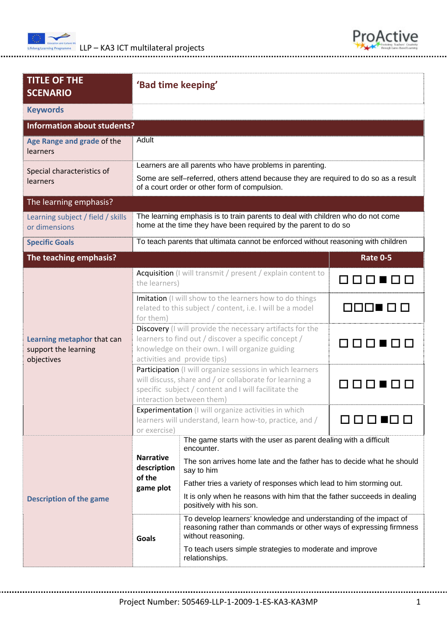



| <b>TITLE OF THE</b><br><b>SCENARIO</b>                           |                                                                                                                                                                                                                | 'Bad time keeping'                                                                                                                                                                                                                                                                                                                                  |                 |  |  |  |  |
|------------------------------------------------------------------|----------------------------------------------------------------------------------------------------------------------------------------------------------------------------------------------------------------|-----------------------------------------------------------------------------------------------------------------------------------------------------------------------------------------------------------------------------------------------------------------------------------------------------------------------------------------------------|-----------------|--|--|--|--|
| <b>Keywords</b>                                                  |                                                                                                                                                                                                                |                                                                                                                                                                                                                                                                                                                                                     |                 |  |  |  |  |
| <b>Information about students?</b>                               |                                                                                                                                                                                                                |                                                                                                                                                                                                                                                                                                                                                     |                 |  |  |  |  |
| Age Range and grade of the<br>learners                           | Adult                                                                                                                                                                                                          |                                                                                                                                                                                                                                                                                                                                                     |                 |  |  |  |  |
| Special characteristics of<br>learners                           | Learners are all parents who have problems in parenting.<br>Some are self-referred, others attend because they are required to do so as a result<br>of a court order or other form of compulsion.              |                                                                                                                                                                                                                                                                                                                                                     |                 |  |  |  |  |
| The learning emphasis?                                           |                                                                                                                                                                                                                |                                                                                                                                                                                                                                                                                                                                                     |                 |  |  |  |  |
| Learning subject / field / skills<br>or dimensions               | The learning emphasis is to train parents to deal with children who do not come<br>home at the time they have been required by the parent to do so                                                             |                                                                                                                                                                                                                                                                                                                                                     |                 |  |  |  |  |
| <b>Specific Goals</b>                                            | To teach parents that ultimata cannot be enforced without reasoning with children                                                                                                                              |                                                                                                                                                                                                                                                                                                                                                     |                 |  |  |  |  |
| The teaching emphasis?                                           |                                                                                                                                                                                                                |                                                                                                                                                                                                                                                                                                                                                     | <b>Rate 0-5</b> |  |  |  |  |
| Learning metaphor that can<br>support the learning<br>objectives | Acquisition (I will transmit / present / explain content to<br>the learners)                                                                                                                                   |                                                                                                                                                                                                                                                                                                                                                     | 000.00          |  |  |  |  |
|                                                                  | Imitation (I will show to the learners how to do things<br>related to this subject / content, i.e. I will be a model<br>for them)                                                                              |                                                                                                                                                                                                                                                                                                                                                     |                 |  |  |  |  |
|                                                                  | Discovery (I will provide the necessary artifacts for the<br>learners to find out / discover a specific concept /<br>888888<br>knowledge on their own. I will organize guiding<br>activities and provide tips) |                                                                                                                                                                                                                                                                                                                                                     |                 |  |  |  |  |
|                                                                  | Participation (I will organize sessions in which learners<br>will discuss, share and / or collaborate for learning a<br>specific subject / content and I will facilitate the<br>interaction between them)      |                                                                                                                                                                                                                                                                                                                                                     |                 |  |  |  |  |
|                                                                  | Experimentation (I will organize activities in which<br>learners will understand, learn how-to, practice, and /<br>or exercise)                                                                                |                                                                                                                                                                                                                                                                                                                                                     |                 |  |  |  |  |
| <b>Description of the game</b>                                   | <b>Narrative</b><br>description<br>of the<br>game plot                                                                                                                                                         | The game starts with the user as parent dealing with a difficult<br>encounter.<br>The son arrives home late and the father has to decide what he should<br>say to him<br>Father tries a variety of responses which lead to him storming out.<br>It is only when he reasons with him that the father succeeds in dealing<br>positively with his son. |                 |  |  |  |  |
|                                                                  | Goals                                                                                                                                                                                                          | To develop learners' knowledge and understanding of the impact of<br>reasoning rather than commands or other ways of expressing firmness<br>without reasoning.<br>To teach users simple strategies to moderate and improve<br>relationships.                                                                                                        |                 |  |  |  |  |